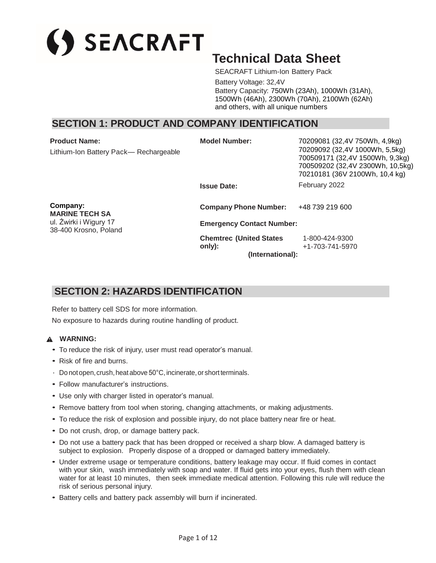# SEACRAFT

## **Technical Data Sheet**

SEACRAFT Lithium-Ion Battery Pack

Battery Voltage: 32,4V Battery Capacity: 750Wh (23Ah), 1000Wh (31Ah), 1500Wh (46Ah), 2300Wh (70Ah), 2100Wh (62Ah) and others, with all unique numbers

## **SECTION 1: PRODUCT AND COMPANY IDENTIFICATION**

| <b>Product Name:</b>                            | <b>Model Number:</b>                      | 70209081 (32,4V 750Wh, 4,9kg)                                                                                                           |  |
|-------------------------------------------------|-------------------------------------------|-----------------------------------------------------------------------------------------------------------------------------------------|--|
| Lithium-Ion Battery Pack— Rechargeable          |                                           | 70209092 (32,4V 1000Wh, 5,5kg)<br>700509171 (32,4V 1500Wh, 9,3kg)<br>700509202 (32,4V 2300Wh, 10,5kg)<br>70210181 (36V 2100Wh, 10,4 kg) |  |
|                                                 | <b>Issue Date:</b>                        | February 2022                                                                                                                           |  |
| Company:<br><b>MARINE TECH SA</b>               | <b>Company Phone Number:</b>              | +48 739 219 600                                                                                                                         |  |
| ul. Żwirki i Wigury 17<br>38-400 Krosno, Poland | <b>Emergency Contact Number:</b>          |                                                                                                                                         |  |
|                                                 | <b>Chemtrec (United States)</b><br>only): | 1-800-424-9300<br>+1-703-741-5970                                                                                                       |  |
|                                                 | (International):                          |                                                                                                                                         |  |

## **SECTION 2: HAZARDS IDENTIFICATION**

Refer to battery cell SDS for more information.

No exposure to hazards during routine handling of product.

## **WARNING:**

- To reduce the risk of injury, user must read operator's manual.
- Risk of fire and burns.
- $\cdot$  Do not open, crush, heat above 50°C, incinerate, or short terminals.
- Follow manufacturer's instructions.
- Use only with charger listed in operator's manual.
- Remove battery from tool when storing, changing attachments, or making adjustments.
- To reduce the risk of explosion and possible injury, do not place battery near fire or heat.
- Do not crush, drop, or damage battery pack.
- Do not use a battery pack that has been dropped or received a sharp blow. A damaged battery is subject to explosion. Properly dispose of a dropped or damaged battery immediately.
- Under extreme usage or temperature conditions, battery leakage may occur. If fluid comes in contact with your skin, wash immediately with soap and water. If fluid gets into your eyes, flush them with clean water for at least 10 minutes, then seek immediate medical attention. Following this rule will reduce the risk of serious personal injury.
- Battery cells and battery pack assembly will burn if incinerated.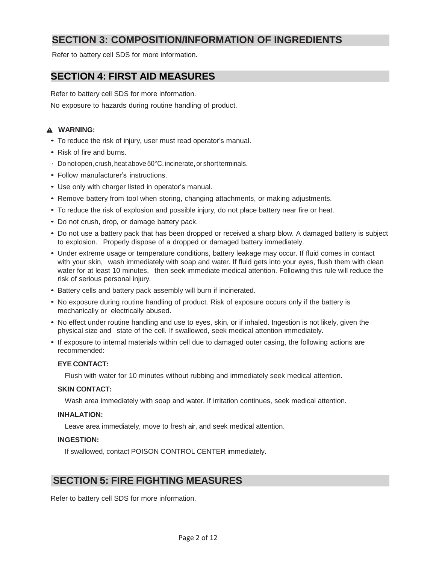## **SECTION 3: COMPOSITION/INFORMATION OF INGREDIENTS**

Refer to battery cell SDS for more information.

## **SECTION 4: FIRST AID MEASURES**

Refer to battery cell SDS for more information. No exposure to hazards during routine handling of product.

## **WARNING:**

- To reduce the risk of injury, user must read operator's manual.
- Risk of fire and burns.
- $\cdot$  Do not open, crush, heat above 50°C, incinerate, or short terminals.
- Follow manufacturer's instructions.
- Use only with charger listed in operator's manual.
- Remove battery from tool when storing, changing attachments, or making adjustments.
- To reduce the risk of explosion and possible injury, do not place battery near fire or heat.
- Do not crush, drop, or damage battery pack.
- Do not use a battery pack that has been dropped or received a sharp blow. A damaged battery is subject to explosion. Properly dispose of a dropped or damaged battery immediately.
- Under extreme usage or temperature conditions, battery leakage may occur. If fluid comes in contact with your skin, wash immediately with soap and water. If fluid gets into your eyes, flush them with clean water for at least 10 minutes, then seek immediate medical attention. Following this rule will reduce the risk of serious personal injury.
- Battery cells and battery pack assembly will burn if incinerated.
- No exposure during routine handling of product. Risk of exposure occurs only if the battery is mechanically or electrically abused.
- No effect under routine handling and use to eyes, skin, or if inhaled. Ingestion is not likely, given the physical size and state of the cell. If swallowed, seek medical attention immediately.
- If exposure to internal materials within cell due to damaged outer casing, the following actions are recommended:

## **EYE CONTACT:**

Flush with water for 10 minutes without rubbing and immediately seek medical attention.

## **SKIN CONTACT:**

Wash area immediately with soap and water. If irritation continues, seek medical attention.

## **INHALATION:**

Leave area immediately, move to fresh air, and seek medical attention.

## **INGESTION:**

If swallowed, contact POISON CONTROL CENTER immediately.

## **SECTION 5: FIRE FIGHTING MEASURES**

Refer to battery cell SDS for more information.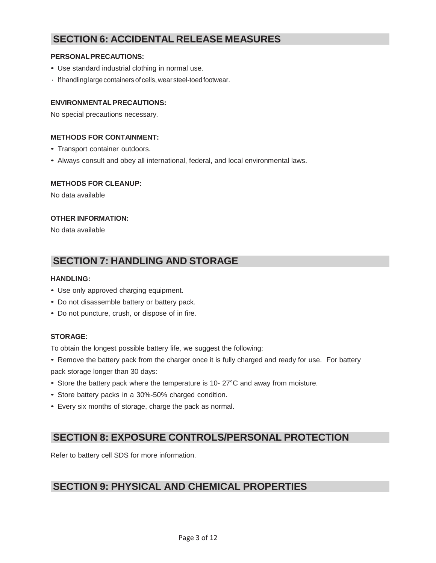## **SECTION 6: ACCIDENTAL RELEASE MEASURES**

## **PERSONALPRECAUTIONS:**

- Use standard industrial clothing in normal use.
- lf handlinglargecontainers of cells,wear steel-toed footwear.

## **ENVIRONMENTALPRECAUTIONS:**

No special precautions necessary.

## **METHODS FOR CONTAINMENT:**

- Transport container outdoors.
- Always consult and obey all international, federal, and local environmental laws.

## **METHODS FOR CLEANUP:**

No data available

## **OTHER INFORMATION:**

No data available

## **SECTION 7: HANDLING AND STORAGE**

## **HANDLING:**

- Use only approved charging equipment.
- Do not disassemble battery or battery pack.
- Do not puncture, crush, or dispose of in fire.

## **STORAGE:**

To obtain the longest possible battery life, we suggest the following:

- Remove the battery pack from the charger once it is fully charged and ready for use. For battery pack storage longer than 30 days:
- Store the battery pack where the temperature is 10- 27°C and away from moisture.
- Store battery packs in a 30%-50% charged condition.
- Every six months of storage, charge the pack as normal.

## **SECTION 8: EXPOSURE CONTROLS/PERSONAL PROTECTION**

Refer to battery cell SDS for more information.

## **SECTION 9: PHYSICAL AND CHEMICAL PROPERTIES**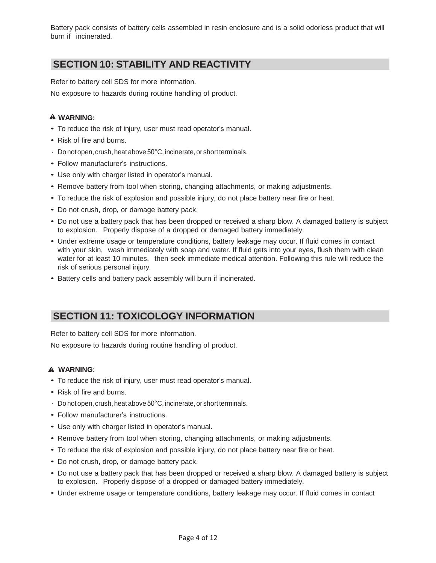Battery pack consists of battery cells assembled in resin enclosure and is a solid odorless product that will burn if incinerated.

## **SECTION 10: STABILITY AND REACTIVITY**

Refer to battery cell SDS for more information.

No exposure to hazards during routine handling of product.

## **WARNING:**

- To reduce the risk of injury, user must read operator's manual.
- Risk of fire and burns.
- $\cdot$  Do not open, crush, heat above 50°C, incinerate, or short terminals.
- Follow manufacturer's instructions.
- Use only with charger listed in operator's manual.
- Remove battery from tool when storing, changing attachments, or making adjustments.
- To reduce the risk of explosion and possible injury, do not place battery near fire or heat.
- Do not crush, drop, or damage battery pack.
- Do not use a battery pack that has been dropped or received a sharp blow. A damaged battery is subject to explosion. Properly dispose of a dropped or damaged battery immediately.
- Under extreme usage or temperature conditions, battery leakage may occur. If fluid comes in contact with your skin, wash immediately with soap and water. If fluid gets into your eyes, flush them with clean water for at least 10 minutes, then seek immediate medical attention. Following this rule will reduce the risk of serious personal injury.
- Battery cells and battery pack assembly will burn if incinerated.

## **SECTION 11: TOXICOLOGY INFORMATION**

Refer to battery cell SDS for more information.

No exposure to hazards during routine handling of product.

## **WARNING:**

- To reduce the risk of injury, user must read operator's manual.
- Risk of fire and burns.
- $\cdot$  Do not open, crush, heat above 50°C, incinerate, or short terminals.
- Follow manufacturer's instructions.
- Use only with charger listed in operator's manual.
- Remove battery from tool when storing, changing attachments, or making adjustments.
- To reduce the risk of explosion and possible injury, do not place battery near fire or heat.
- Do not crush, drop, or damage battery pack.
- Do not use a battery pack that has been dropped or received a sharp blow. A damaged battery is subject to explosion. Properly dispose of a dropped or damaged battery immediately.
- Under extreme usage or temperature conditions, battery leakage may occur. If fluid comes in contact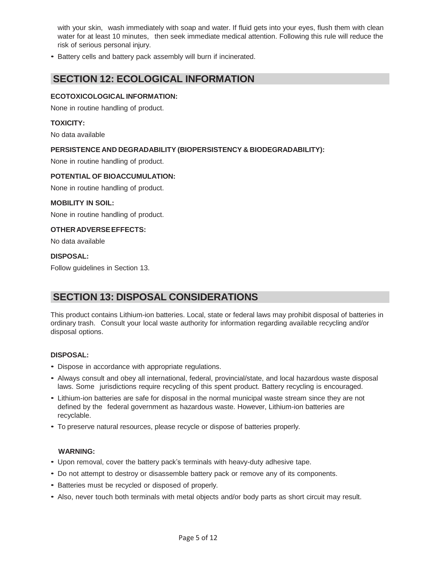with your skin, wash immediately with soap and water. If fluid gets into your eyes, flush them with clean water for at least 10 minutes, then seek immediate medical attention. Following this rule will reduce the risk of serious personal injury.

• Battery cells and battery pack assembly will burn if incinerated.

## **SECTION 12: ECOLOGICAL INFORMATION**

## **ECOTOXICOLOGICAL INFORMATION:**

None in routine handling of product.

#### **TOXICITY:**

No data available

## **PERSISTENCE AND DEGRADABILITY (BIOPERSISTENCY & BIODEGRADABILITY):**

None in routine handling of product.

#### **POTENTIAL OF BIOACCUMULATION:**

None in routine handling of product.

#### **MOBILITY IN SOIL:**

None in routine handling of product.

#### **OTHERADVERSEEFFECTS:**

No data available

## **DISPOSAL:**

Follow guidelines in Section 13.

## **SECTION 13: DISPOSAL CONSIDERATIONS**

This product contains Lithium-ion batteries. Local, state or federal laws may prohibit disposal of batteries in ordinary trash. Consult your local waste authority for information regarding available recycling and/or disposal options.

#### **DISPOSAL:**

- Dispose in accordance with appropriate regulations.
- Always consult and obey all international, federal, provincial/state, and local hazardous waste disposal laws. Some jurisdictions require recycling of this spent product. Battery recycling is encouraged.
- Lithium-ion batteries are safe for disposal in the normal municipal waste stream since they are not defined by the federal government as hazardous waste. However, Lithium-ion batteries are recyclable.
- To preserve natural resources, please recycle or dispose of batteries properly.

#### **WARNING:**

- Upon removal, cover the battery pack's terminals with heavy-duty adhesive tape.
- Do not attempt to destroy or disassemble battery pack or remove any of its components.
- Batteries must be recycled or disposed of properly.
- Also, never touch both terminals with metal objects and/or body parts as short circuit may result.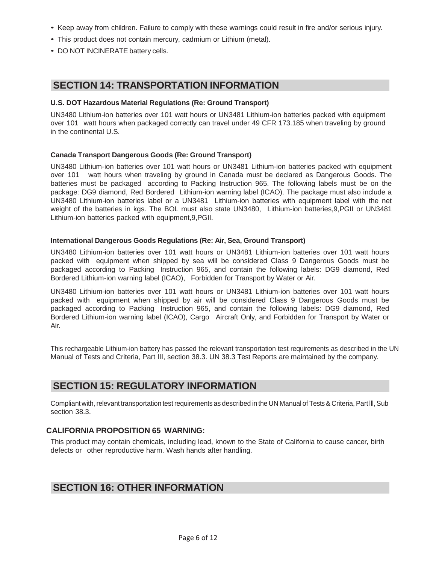- Keep away from children. Failure to comply with these warnings could result in fire and/or serious injury.
- This product does not contain mercury, cadmium or Lithium (metal).
- DO NOT INCINERATE battery cells.

## **SECTION 14: TRANSPORTATION INFORMATION**

## **U.S. DOT Hazardous Material Regulations (Re: Ground Transport)**

UN3480 Lithium-ion batteries over 101 watt hours or UN3481 Lithium-ion batteries packed with equipment over 101 watt hours when packaged correctly can travel under 49 CFR 173.185 when traveling by ground in the continental U.S.

## **Canada Transport Dangerous Goods (Re: Ground Transport)**

UN3480 Lithium-ion batteries over 101 watt hours or UN3481 Lithium-ion batteries packed with equipment over 101 watt hours when traveling by ground in Canada must be declared as Dangerous Goods. The batteries must be packaged according to Packing Instruction 965. The following labels must be on the package: DG9 diamond, Red Bordered Lithium-ion warning label (ICAO). The package must also include a UN3480 Lithium-ion batteries label or a UN3481 Lithium-ion batteries with equipment label with the net weight of the batteries in kgs. The BOL must also state UN3480, Lithium-ion batteries,9,PGII or UN3481 Lithium-ion batteries packed with equipment,9,PGII.

#### **International Dangerous Goods Regulations (Re: Air, Sea, Ground Transport)**

UN3480 Lithium-ion batteries over 101 watt hours or UN3481 Lithium-ion batteries over 101 watt hours packed with equipment when shipped by sea will be considered Class 9 Dangerous Goods must be packaged according to Packing Instruction 965, and contain the following labels: DG9 diamond, Red Bordered Lithium-ion warning label (ICAO), Forbidden for Transport by Water or Air.

UN3480 Lithium-ion batteries over 101 watt hours or UN3481 Lithium-ion batteries over 101 watt hours packed with equipment when shipped by air will be considered Class 9 Dangerous Goods must be packaged according to Packing Instruction 965, and contain the following labels: DG9 diamond, Red Bordered Lithium-ion warning label (ICAO), Cargo Aircraft Only, and Forbidden for Transport by Water or Air.

This rechargeable Lithium-ion battery has passed the relevant transportation test requirements as described in the UN Manual of Tests and Criteria, Part III, section 38.3. UN 38.3 Test Reports are maintained by the company.

## **SECTION 15: REGULATORY INFORMATION**

Compliant with, relevant transportation test requirements as described in the UN Manual of Tests & Criteria, Part III, Sub section 38.3.

## **CALIFORNIA PROPOSITION 65 WARNING:**

This product may contain chemicals, including lead, known to the State of California to cause cancer, birth defects or other reproductive harm. Wash hands after handling.

## **SECTION 16: OTHER INFORMATION**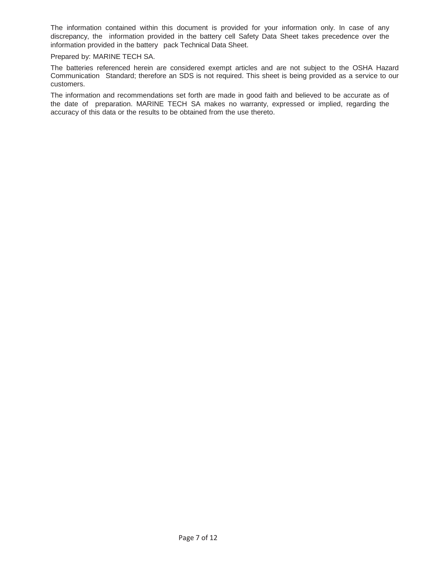The information contained within this document is provided for your information only. In case of any discrepancy, the information provided in the battery cell Safety Data Sheet takes precedence over the information provided in the battery pack Technical Data Sheet.

Prepared by: MARINE TECH SA.

The batteries referenced herein are considered exempt articles and are not subject to the OSHA Hazard Communication Standard; therefore an SDS is not required. This sheet is being provided as a service to our customers.

The information and recommendations set forth are made in good faith and believed to be accurate as of the date of preparation. MARINE TECH SA makes no warranty, expressed or implied, regarding the accuracy of this data or the results to be obtained from the use thereto.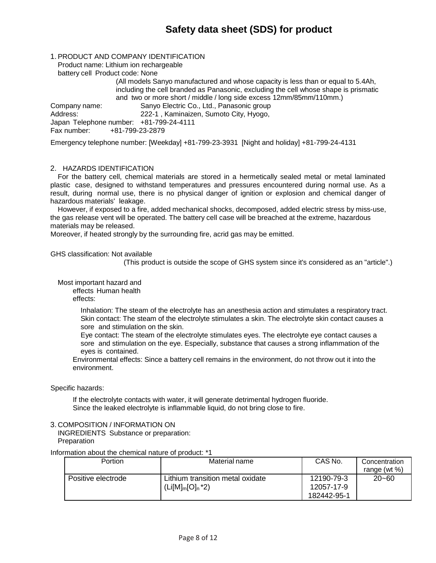## **Safety data sheet (SDS) for product**

#### 1. PRODUCT AND COMPANY IDENTIFICATION

Product name: Lithium ion rechargeable

battery cell Product code: None

(All models Sanyo manufactured and whose capacity is less than or equal to 5.4Ah, including the cell branded as Panasonic, excluding the cell whose shape is prismatic and two or more short / middle / long side excess 12mm/85mm/110mm.) Company name: Sanyo Electric Co., Ltd., Panasonic group

Address: 222-1 , Kaminaizen, Sumoto City, Hyogo,

Japan Telephone number: +81-799-24-4111 Fax number: +81-799-23-2879

Emergency telephone number: [Weekday] +81-799-23-3931 [Night and holiday] +81-799-24-4131

#### 2. HAZARDS IDENTIFICATION

For the battery cell, chemical materials are stored in a hermetically sealed metal or metal laminated plastic case, designed to withstand temperatures and pressures encountered during normal use. As a result, during normal use, there is no physical danger of ignition or explosion and chemical danger of hazardous materials' leakage.

However, if exposed to a fire, added mechanical shocks, decomposed, added electric stress by miss-use, the gas release vent will be operated. The battery cell case will be breached at the extreme, hazardous materials may be released.

Moreover, if heated strongly by the surrounding fire, acrid gas may be emitted.

#### GHS classification: Not available

(This product is outside the scope of GHS system since it's considered as an "article".)

Most important hazard and

effects Human health

effects:

Inhalation: The steam of the electrolyte has an anesthesia action and stimulates a respiratory tract. Skin contact: The steam of the electrolyte stimulates a skin. The electrolyte skin contact causes a sore and stimulation on the skin.

Eye contact: The steam of the electrolyte stimulates eyes. The electrolyte eye contact causes a sore and stimulation on the eye. Especially, substance that causes a strong inflammation of the eyes is contained.

Environmental effects: Since a battery cell remains in the environment, do not throw out it into the environment.

Specific hazards:

If the electrolyte contacts with water, it will generate detrimental hydrogen fluoride. Since the leaked electrolyte is inflammable liquid, do not bring close to fire.

#### 3. COMPOSITION / INFORMATION ON

INGREDIENTS Substance or preparation: **Preparation** 

Information about the chemical nature of product: \*1

| Portion            | Material name                                           | CAS No.                                 | Concentration   |
|--------------------|---------------------------------------------------------|-----------------------------------------|-----------------|
|                    |                                                         |                                         | range (wt $%$ ) |
| Positive electrode | Lithium transition metal oxidate<br>$(Li[M]_m[O]_n^*2)$ | 12190-79-3<br>12057-17-9<br>182442-95-1 | $20 - 60$       |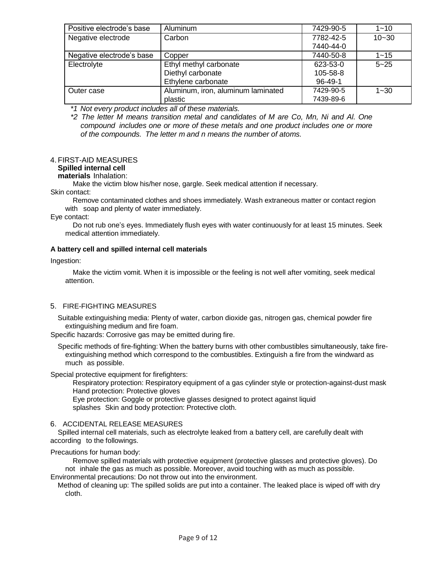| Positive electrode's base | <b>Aluminum</b>                    | 7429-90-5 | $1 - 10$  |
|---------------------------|------------------------------------|-----------|-----------|
| Negative electrode        | Carbon                             | 7782-42-5 | $10 - 30$ |
|                           |                                    | 7440-44-0 |           |
| Negative electrode's base | Copper                             | 7440-50-8 | $1 - 15$  |
| Electrolyte               | Ethyl methyl carbonate             | 623-53-0  | $5 - 25$  |
|                           | Diethyl carbonate                  | 105-58-8  |           |
|                           | Ethylene carbonate                 | $96-49-1$ |           |
| Outer case                | Aluminum, iron, aluminum laminated | 7429-90-5 | $1 - 30$  |
|                           | plastic                            | 7439-89-6 |           |

*\*1 Not every product includes all of these materials.*

*\*2 The letter M means transition metal and candidates of M are Co, Mn, Ni and Al. One compound includes one or more of these metals and one product includes one or more of the compounds. The letter m and n means the number of atoms.*

## 4. FIRST-AID MEASURES

## **Spilled internal cell**

**materials** Inhalation:

Make the victim blow his/her nose, gargle. Seek medical attention if necessary.

Skin contact:

Remove contaminated clothes and shoes immediately. Wash extraneous matter or contact region with soap and plenty of water immediately.

Eye contact:

Do not rub one's eyes. Immediately flush eyes with water continuously for at least 15 minutes. Seek medical attention immediately.

## **A battery cell and spilled internal cell materials**

Ingestion:

Make the victim vomit. When it is impossible or the feeling is not well after vomiting, seek medical attention.

## 5. FIRE-FIGHTING MEASURES

Suitable extinguishing media: Plenty of water, carbon dioxide gas, nitrogen gas, chemical powder fire extinguishing medium and fire foam.

Specific hazards: Corrosive gas may be emitted during fire.

Specific methods of fire-fighting: When the battery burns with other combustibles simultaneously, take fireextinguishing method which correspond to the combustibles. Extinguish a fire from the windward as much as possible.

Special protective equipment for firefighters:

Respiratory protection: Respiratory equipment of a gas cylinder style or protection-against-dust mask Hand protection: Protective gloves

Eye protection: Goggle or protective glasses designed to protect against liquid splashes Skin and body protection: Protective cloth.

## 6. ACCIDENTAL RELEASE MEASURES

Spilled internal cell materials, such as electrolyte leaked from a battery cell, are carefully dealt with according to the followings.

## Precautions for human body:

Remove spilled materials with protective equipment (protective glasses and protective gloves). Do not inhale the gas as much as possible. Moreover, avoid touching with as much as possible. Environmental precautions: Do not throw out into the environment.

Method of cleaning up: The spilled solids are put into a container. The leaked place is wiped off with dry cloth.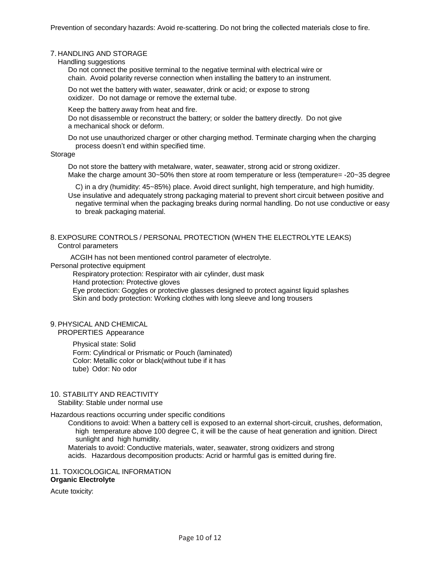#### 7. HANDLING AND STORAGE

Handling suggestions

Do not connect the positive terminal to the negative terminal with electrical wire or chain. Avoid polarity reverse connection when installing the battery to an instrument.

Do not wet the battery with water, seawater, drink or acid; or expose to strong oxidizer. Do not damage or remove the external tube.

Keep the battery away from heat and fire.

Do not disassemble or reconstruct the battery; or solder the battery directly. Do not give a mechanical shock or deform.

Do not use unauthorized charger or other charging method. Terminate charging when the charging process doesn't end within specified time.

#### **Storage**

Do not store the battery with metalware, water, seawater, strong acid or strong oxidizer. Make the charge amount 30~50% then store at room temperature or less (temperature= -20~35 degree

C) in a dry (humidity: 45~85%) place. Avoid direct sunlight, high temperature, and high humidity. Use insulative and adequately strong packaging material to prevent short circuit between positive and negative terminal when the packaging breaks during normal handling. Do not use conductive or easy to break packaging material.

#### 8. EXPOSURE CONTROLS / PERSONAL PROTECTION (WHEN THE ELECTROLYTE LEAKS) Control parameters

ACGIH has not been mentioned control parameter of electrolyte.

Personal protective equipment

Respiratory protection: Respirator with air cylinder, dust mask Hand protection: Protective gloves Eye protection: Goggles or protective glasses designed to protect against liquid splashes Skin and body protection: Working clothes with long sleeve and long trousers

#### 9. PHYSICAL AND CHEMICAL PROPERTIES Appearance

Physical state: Solid Form: Cylindrical or Prismatic or Pouch (laminated) Color: Metallic color or black(without tube if it has

tube) Odor: No odor

#### 10. STABILITY AND REACTIVITY

Stability: Stable under normal use

Hazardous reactions occurring under specific conditions

Conditions to avoid: When a battery cell is exposed to an external short-circuit, crushes, deformation, high temperature above 100 degree C, it will be the cause of heat generation and ignition. Direct sunlight and high humidity.

Materials to avoid: Conductive materials, water, seawater, strong oxidizers and strong acids. Hazardous decomposition products: Acrid or harmful gas is emitted during fire.

#### 11. TOXICOLOGICAL INFORMATION **Organic Electrolyte**

Acute toxicity: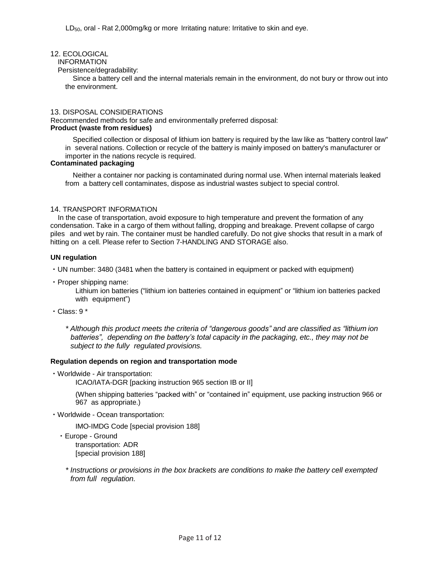## 12. ECOLOGICAL

## INFORMATION

Persistence/degradability:

Since a battery cell and the internal materials remain in the environment, do not bury or throw out into the environment.

#### 13. DISPOSAL CONSIDERATIONS

Recommended methods for safe and environmentally preferred disposal: **Product (waste from residues)**

Specified collection or disposal of lithium ion battery is required by the law like as "battery control law" in several nations. Collection or recycle of the battery is mainly imposed on battery's manufacturer or importer in the nations recycle is required.

## **Contaminated packaging**

Neither a container nor packing is contaminated during normal use. When internal materials leaked from a battery cell contaminates, dispose as industrial wastes subject to special control.

## 14. TRANSPORT INFORMATION

In the case of transportation, avoid exposure to high temperature and prevent the formation of any condensation. Take in a cargo of them without falling, dropping and breakage. Prevent collapse of cargo piles and wet by rain. The container must be handled carefully. Do not give shocks that result in a mark of hitting on a cell. Please refer to Section 7-HANDLING AND STORAGE also.

## **UN regulation**

・UN number: 3480 (3481 when the battery is contained in equipment or packed with equipment)

・Proper shipping name:

Lithium ion batteries ("lithium ion batteries contained in equipment" or "lithium ion batteries packed with equipment")

 $\cdot$  Class: 9  $^{\ast}$ 

*\* Although this product meets the criteria of "dangerous goods" and are classified as "lithium ion batteries", depending on the battery's total capacity in the packaging, etc., they may not be subject to the fully regulated provisions.*

## **Regulation depends on region and transportation mode**

・Worldwide - Air transportation:

ICAO/IATA-DGR [packing instruction 965 section IB or II]

(When shipping batteries "packed with" or "contained in" equipment, use packing instruction 966 or 967 as appropriate.)

・Worldwide - Ocean transportation:

IMO-IMDG Code [special provision 188]

・Europe - Ground

transportation: ADR [special provision 188]

*\* Instructions or provisions in the box brackets are conditions to make the battery cell exempted from full regulation.*